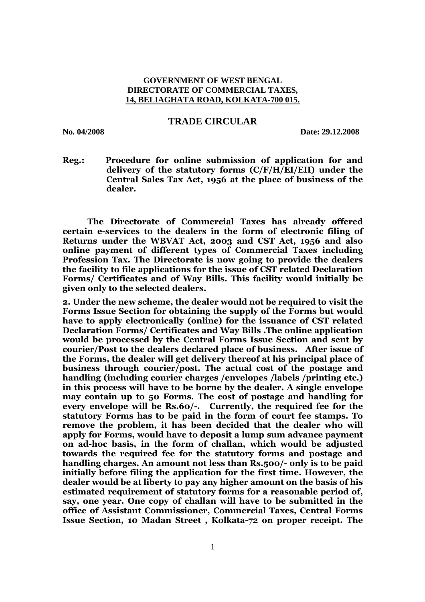## **GOVERNMENT OF WEST BENGAL DIRECTORATE OF COMMERCIAL TAXES, 14, BELIAGHATA ROAD, KOLKATA-700 015.**

## **TRADE CIRCULAR**

**No. 04/2008 Date: 29.12.2008** 

**Reg.: Procedure for online submission of application for and delivery of the statutory forms (C/F/H/EI/EII) under the Central Sales Tax Act, 1956 at the place of business of the dealer.** 

**The Directorate of Commercial Taxes has already offered certain e-services to the dealers in the form of electronic filing of Returns under the WBVAT Act, 2003 and CST Act, 1956 and also online payment of different types of Commercial Taxes including Profession Tax. The Directorate is now going to provide the dealers the facility to file applications for the issue of CST related Declaration Forms/ Certificates and of Way Bills. This facility would initially be given only to the selected dealers.** 

**2. Under the new scheme, the dealer would not be required to visit the Forms Issue Section for obtaining the supply of the Forms but would have to apply electronically (online) for the issuance of CST related Declaration Forms/ Certificates and Way Bills .The online application would be processed by the Central Forms Issue Section and sent by courier/Post to the dealers declared place of business. After issue of the Forms, the dealer will get delivery thereof at his principal place of business through courier/post. The actual cost of the postage and handling (including courier charges /envelopes /labels /printing etc.) in this process will have to be borne by the dealer. A single envelope may contain up to 50 Forms. The cost of postage and handling for every envelope will be Rs.60/-. Currently, the required fee for the statutory Forms has to be paid in the form of court fee stamps. To remove the problem, it has been decided that the dealer who will apply for Forms, would have to deposit a lump sum advance payment on ad-hoc basis, in the form of challan, which would be adjusted towards the required fee for the statutory forms and postage and handling charges. An amount not less than Rs.500/- only is to be paid initially before filing the application for the first time. However, the dealer would be at liberty to pay any higher amount on the basis of his estimated requirement of statutory forms for a reasonable period of, say, one year. One copy of challan will have to be submitted in the office of Assistant Commissioner, Commercial Taxes, Central Forms Issue Section, 10 Madan Street , Kolkata-72 on proper receipt. The**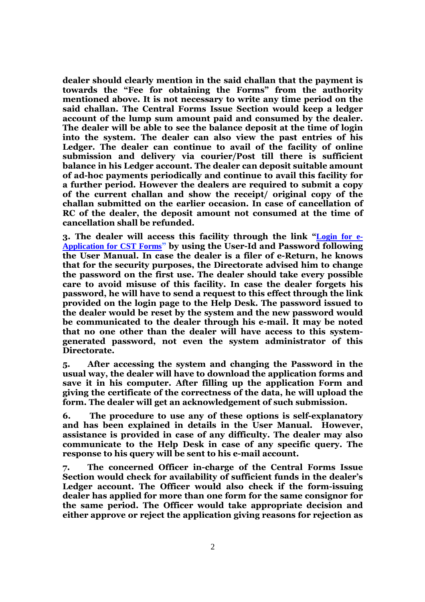**dealer should clearly mention in the said challan that the payment is towards the "Fee for obtaining the Forms" from the authority mentioned above. It is not necessary to write any time period on the said challan. The Central Forms Issue Section would keep a ledger account of the lump sum amount paid and consumed by the dealer. The dealer will be able to see the balance deposit at the time of login into the system. The dealer can also view the past entries of his Ledger. The dealer can continue to avail of the facility of online submission and delivery via courier/Post till there is sufficient balance in his Ledger account. The dealer can deposit suitable amount of ad-hoc payments periodically and continue to avail this facility for a further period. However the dealers are required to submit a copy of the current challan and show the receipt/ original copy of the challan submitted on the earlier occasion. In case of cancellation of RC of the dealer, the deposit amount not consumed at the time of cancellation shall be refunded.** 

**3. The dealer will access this facility through the link "Login for e-Application for CST Forms" by using the User-Id and Password following the User Manual. In case the dealer is a filer of e-Return, he knows that for the security purposes, the Directorate advised him to change the password on the first use. The dealer should take every possible care to avoid misuse of this facility. In case the dealer forgets his password, he will have to send a request to this effect through the link provided on the login page to the Help Desk. The password issued to the dealer would be reset by the system and the new password would be communicated to the dealer through his e-mail. It may be noted that no one other than the dealer will have access to this systemgenerated password, not even the system administrator of this Directorate.** 

**5. After accessing the system and changing the Password in the usual way, the dealer will have to download the application forms and save it in his computer. After filling up the application Form and giving the certificate of the correctness of the data, he will upload the form. The dealer will get an acknowledgement of such submission.** 

**6. The procedure to use any of these options is self-explanatory and has been explained in details in the User Manual. However, assistance is provided in case of any difficulty. The dealer may also communicate to the Help Desk in case of any specific query. The response to his query will be sent to his e-mail account.** 

**7. The concerned Officer in-charge of the Central Forms Issue Section would check for availability of sufficient funds in the dealer's Ledger account. The Officer would also check if the form-issuing dealer has applied for more than one form for the same consignor for the same period. The Officer would take appropriate decision and either approve or reject the application giving reasons for rejection as**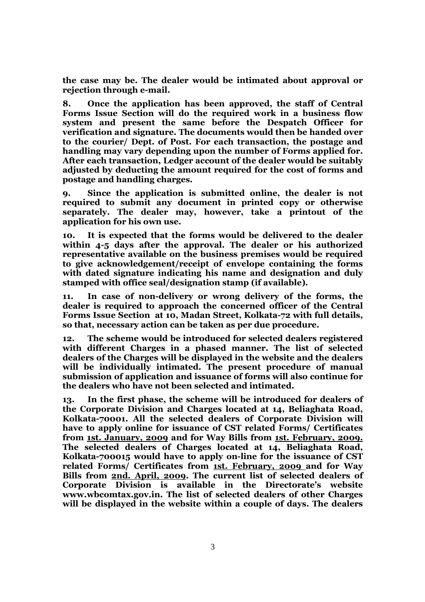**the case may be. The dealer would be intimated about approval or rejection through e-mail.** 

**8. Once the application has been approved, the staff of Central Forms Issue Section will do the required work in a business flow system and present the same before the Despatch Officer for verification and signature. The documents would then be handed over to the courier/ Dept. of Post. For each transaction, the postage and handling may vary depending upon the number of Forms applied for. After each transaction, Ledger account of the dealer would be suitably adjusted by deducting the amount required for the cost of forms and postage and handling charges.** 

**9. Since the application is submitted online, the dealer is not required to submit any document in printed copy or otherwise separately. The dealer may, however, take a printout of the application for his own use.** 

**10. It is expected that the forms would be delivered to the dealer within 4-5 days after the approval. The dealer or his authorized representative available on the business premises would be required to give acknowledgement/receipt of envelope containing the forms with dated signature indicating his name and designation and duly stamped with office seal/designation stamp (if available).** 

**11. In case of non-delivery or wrong delivery of the forms, the dealer is required to approach the concerned officer of the Central Forms Issue Section at 10, Madan Street, Kolkata-72 with full details, so that, necessary action can be taken as per due procedure.** 

**12. The scheme would be introduced for selected dealers registered with different Charges in a phased manner. The list of selected dealers of the Charges will be displayed in the website and the dealers will be individually intimated. The present procedure of manual submission of application and issuance of forms will also continue for the dealers who have not been selected and intimated.** 

**13. In the first phase, the scheme will be introduced for dealers of the Corporate Division and Charges located at 14, Beliaghata Road, Kolkata-70001. All the selected dealers of Corporate Division will have to apply online for issuance of CST related Forms/ Certificates from 1st. January, 2009 and for Way Bills from 1st. February, 2009. The selected dealers of Charges located at 14, Beliaghata Road, Kolkata-700015 would have to apply on-line for the issuance of CST related Forms/ Certificates from 1st. February, 2009 and for Way Bills from 2nd. April, 2009. The current list of selected dealers of Corporate Division is available in the Directorate's website www.wbcomtax.gov.in. The list of selected dealers of other Charges will be displayed in the website within a couple of days. The dealers**